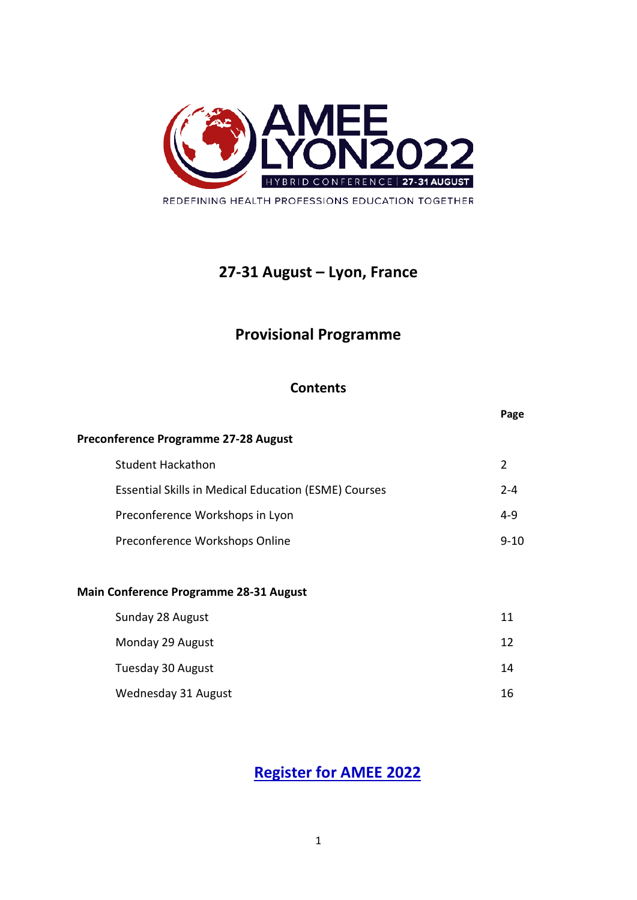

# **27-31 August – Lyon, France**

# **Provisional Programme**

## **Contents**

|                                                             | Page     |
|-------------------------------------------------------------|----------|
| Preconference Programme 27-28 August                        |          |
| <b>Student Hackathon</b>                                    | 2        |
| <b>Essential Skills in Medical Education (ESME) Courses</b> | $2 - 4$  |
| Preconference Workshops in Lyon                             | $4 - 9$  |
| Preconference Workshops Online                              | $9 - 10$ |
|                                                             |          |
| <b>Main Conference Programme 28-31 August</b>               |          |
| Sunday 28 August                                            | 11       |
| Monday 29 August                                            | 12       |
| Tuesday 30 August                                           | 14       |

Wednesday 31 August 16

# **[Register for AMEE 2022](https://web-eur.cvent.com/event/a1fb1d48-3957-4538-ac2a-d904edd716c5/summary?i=dzB0iPZa-UuoGvo4Nkfwnw&environment=production-eu)**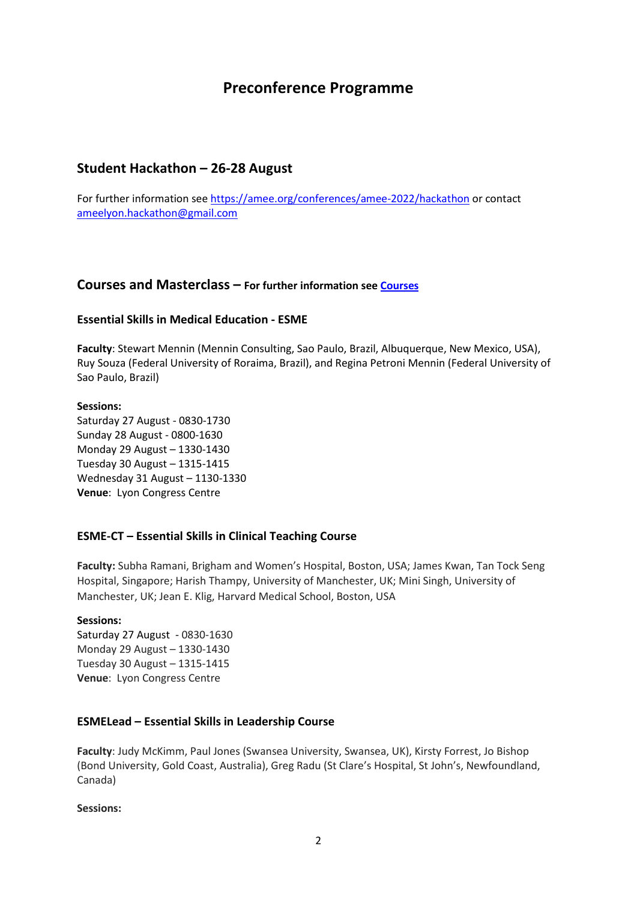## **Preconference Programme**

## **Student Hackathon – 26-28 August**

For further information see <https://amee.org/conferences/amee-2022/hackathon> or contact [ameelyon.hackathon@gmail.com](mailto:ameelyon.hackathon@gmail.com)

### **Courses and Masterclass – For further information see [Courses](https://web-eur.cvent.com/event/a1fb1d48-3957-4538-ac2a-d904edd716c5/websitePage:8a58c40f-84a8-41d1-858a-51368bc9dedf?i=dzB0iPZa-UuoGvo4Nkfwnw&environment=production-eu)**

#### **Essential Skills in Medical Education - ESME**

**Faculty**: Stewart Mennin (Mennin Consulting, Sao Paulo, Brazil, Albuquerque, New Mexico, USA), Ruy Souza (Federal University of Roraima, Brazil), and Regina Petroni Mennin (Federal University of Sao Paulo, Brazil)

#### **Sessions:**

Saturday 27 August - 0830-1730 Sunday 28 August - 0800-1630 Monday 29 August – 1330-1430 Tuesday 30 August – 1315-1415 Wednesday 31 August – 1130-1330 **Venue**: Lyon Congress Centre

#### **ESME-CT – Essential Skills in Clinical Teaching Course**

**Faculty:** Subha Ramani, Brigham and Women's Hospital, Boston, USA; James Kwan, Tan Tock Seng Hospital, Singapore; Harish Thampy, University of Manchester, UK; Mini Singh, University of Manchester, UK; Jean E. Klig, Harvard Medical School, Boston, USA

#### **Sessions:**

Saturday 27 August - 0830-1630 Monday 29 August – 1330-1430 Tuesday 30 August – 1315-1415 **Venue**: Lyon Congress Centre

#### **ESMELead – Essential Skills in Leadership Course**

**Faculty**: Judy McKimm, Paul Jones (Swansea University, Swansea, UK), Kirsty Forrest, Jo Bishop (Bond University, Gold Coast, Australia), Greg Radu (St Clare's Hospital, St John's, Newfoundland, Canada)

**Sessions:**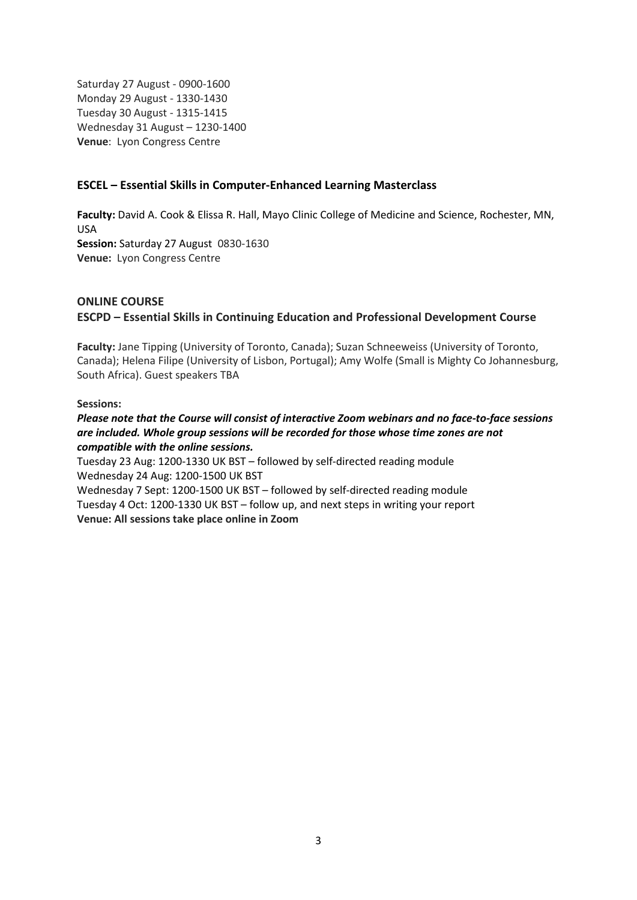Saturday 27 August - 0900-1600 Monday 29 August - 1330-1430 Tuesday 30 August - 1315-1415 Wednesday 31 August – 1230-1400 **Venue**: Lyon Congress Centre

#### **ESCEL – Essential Skills in Computer-Enhanced Learning Masterclass**

**Faculty:** David A. Cook & Elissa R. Hall, Mayo Clinic College of Medicine and Science, Rochester, MN, USA **Session:** Saturday 27 August 0830-1630 **Venue:** Lyon Congress Centre

#### **ONLINE COURSE**

#### **ESCPD – Essential Skills in Continuing Education and Professional Development Course**

**Faculty:** Jane Tipping (University of Toronto, Canada); Suzan Schneeweiss (University of Toronto, Canada); Helena Filipe (University of Lisbon, Portugal); Amy Wolfe (Small is Mighty Co Johannesburg, South Africa). Guest speakers TBA

#### **Sessions:**

*Please note that the Course will consist of interactive Zoom webinars and no face-to-face sessions are included. Whole group sessions will be recorded for those whose time zones are not compatible with the online sessions.*

Tuesday 23 Aug: 1200-1330 UK BST – followed by self-directed reading module Wednesday 24 Aug: 1200-1500 UK BST

Wednesday 7 Sept: 1200-1500 UK BST – followed by self-directed reading module Tuesday 4 Oct: 1200-1330 UK BST – follow up, and next steps in writing your report **Venue: All sessions take place online in Zoom**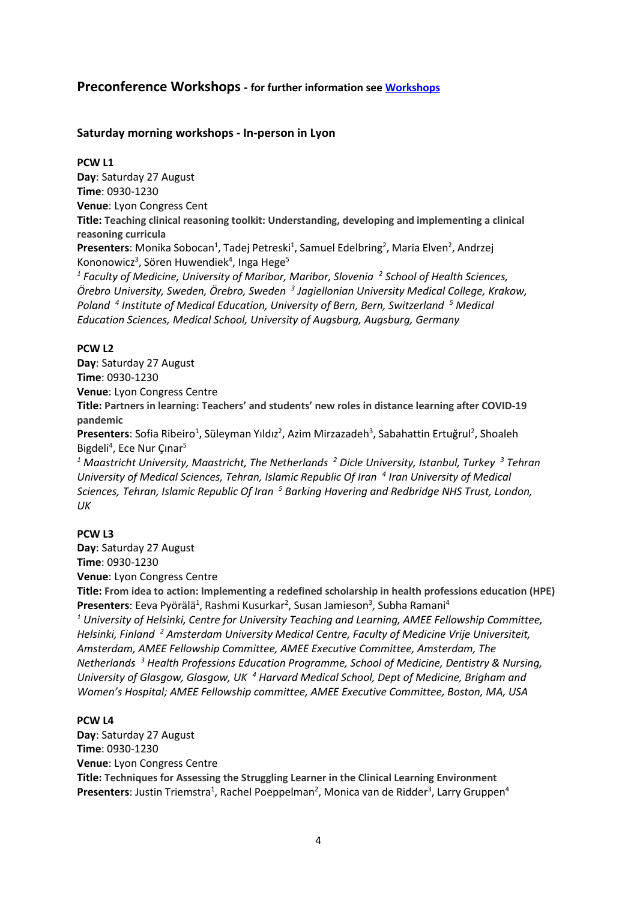## **Preconference Workshops - for further information see [Workshops](https://web-eur.cvent.com/event/a1fb1d48-3957-4538-ac2a-d904edd716c5/websitePage:131c46eb-90bd-4782-a18b-ec919303ccf7?i=dzB0iPZa-UuoGvo4Nkfwnw&environment=production-eu)**

#### **Saturday morning workshops - In-person in Lyon**

#### **PCW L1**

**Day**: Saturday 27 August **Time**: 0930-1230 **Venue**: Lyon Congress Cent **Title: Teaching clinical reasoning toolkit: Understanding, developing and implementing a clinical reasoning curricula** Presenters: Monika Sobocan<sup>1</sup>, Tadej Petreski<sup>1</sup>, Samuel Edelbring<sup>2</sup>, Maria Elven<sup>2</sup>, Andrzej Kononowicz<sup>3</sup>, Sören Huwendiek<sup>4</sup>, Inga Hege<sup>5</sup> *<sup>1</sup> Faculty of Medicine, University of Maribor, Maribor, Slovenia 2 School of Health Sciences, Örebro University, Sweden, Örebro, Sweden 3 Jagiellonian University Medical College, Krakow, Poland 4 Institute of Medical Education, University of Bern, Bern, Switzerland 5 Medical Education Sciences, Medical School, University of Augsburg, Augsburg, Germany*

#### **PCW L2**

**Day**: Saturday 27 August **Time**: 0930-1230 **Venue**: Lyon Congress Centre **Title: Partners in learning: Teachers' and students' new roles in distance learning after COVID-19 pandemic** Presenters: Sofia Ribeiro<sup>1</sup>, Süleyman Yıldız<sup>2</sup>, Azim Mirzazadeh<sup>3</sup>, Sabahattin Ertuğrul<sup>2</sup>, Shoaleh Bigdeli<sup>4</sup>, Ece Nur Çınar<sup>5</sup> *<sup>1</sup> Maastricht University, Maastricht, The Netherlands 2 Dicle University, Istanbul, Turkey 3 Tehran*

*University of Medical Sciences, Tehran, Islamic Republic Of Iran 4 Iran University of Medical Sciences, Tehran, Islamic Republic Of Iran 5 Barking Havering and Redbridge NHS Trust, London, UK* 

#### **PCW L3**

**Day**: Saturday 27 August **Time**: 0930-1230

**Venue**: Lyon Congress Centre

**Title: From idea to action: Implementing a redefined scholarship in health professions education (HPE)** Presenters: Eeva Pyörälä<sup>1</sup>, Rashmi Kusurkar<sup>2</sup>, Susan Jamieson<sup>3</sup>, Subha Ramani<sup>4</sup>

*<sup>1</sup> University of Helsinki, Centre for University Teaching and Learning, AMEE Fellowship Committee, Helsinki, Finland 2 Amsterdam University Medical Centre, Faculty of Medicine Vrije Universiteit, Amsterdam, AMEE Fellowship Committee, AMEE Executive Committee, Amsterdam, The Netherlands 3 Health Professions Education Programme, School of Medicine, Dentistry & Nursing, University of Glasgow, Glasgow, UK 4 Harvard Medical School, Dept of Medicine, Brigham and Women's Hospital; AMEE Fellowship committee, AMEE Executive Committee, Boston, MA, USA*

#### **PCW L4**

**Day**: Saturday 27 August **Time**: 0930-1230 **Venue**: Lyon Congress Centre **Title: Techniques for Assessing the Struggling Learner in the Clinical Learning Environment** Presenters: Justin Triemstra<sup>1</sup>, Rachel Poeppelman<sup>2</sup>, Monica van de Ridder<sup>3</sup>, Larry Gruppen<sup>4</sup>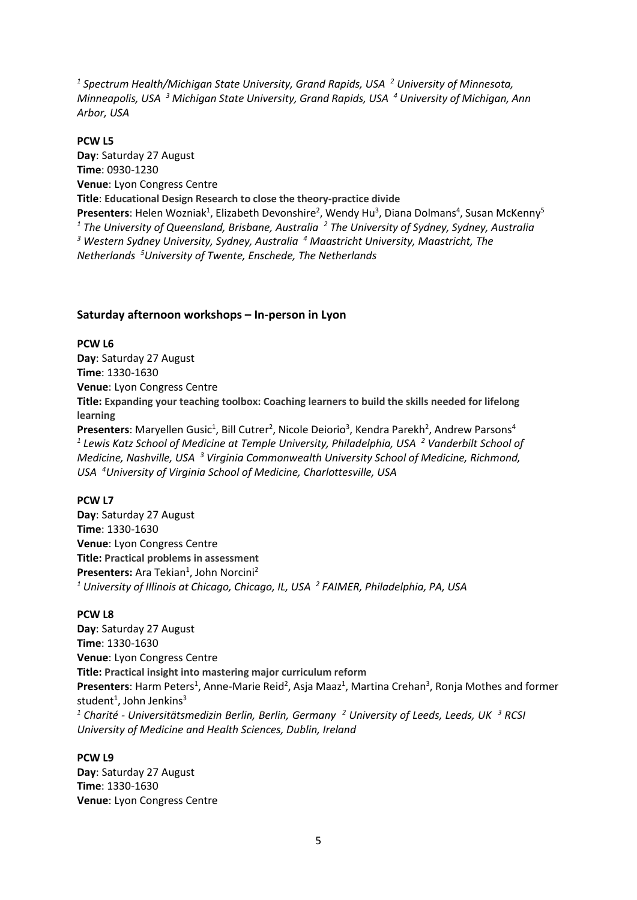*<sup>1</sup> Spectrum Health/Michigan State University, Grand Rapids, USA 2 University of Minnesota, Minneapolis, USA 3 Michigan State University, Grand Rapids, USA 4 University of Michigan, Ann Arbor, USA*

#### **PCW L5**

**Day**: Saturday 27 August **Time**: 0930-1230 **Venue**: Lyon Congress Centre **Title**: **Educational Design Research to close the theory-practice divide** Presenters: Helen Wozniak<sup>1</sup>, Elizabeth Devonshire<sup>2</sup>, Wendy Hu<sup>3</sup>, Diana Dolmans<sup>4</sup>, Susan McKenny<sup>5</sup> *<sup>1</sup> The University of Queensland, Brisbane, Australia 2 The University of Sydney, Sydney, Australia 3 Western Sydney University, Sydney, Australia 4 Maastricht University, Maastricht, The Netherlands 5 University of Twente, Enschede, The Netherlands*

#### **Saturday afternoon workshops – In-person in Lyon**

#### **PCW L6**

**Day**: Saturday 27 August **Time**: 1330-1630 **Venue**: Lyon Congress Centre **Title: Expanding your teaching toolbox: Coaching learners to build the skills needed for lifelong learning** Presenters: Maryellen Gusic<sup>1</sup>, Bill Cutrer<sup>2</sup>, Nicole Deiorio<sup>3</sup>, Kendra Parekh<sup>2</sup>, Andrew Parsons<sup>4</sup> *<sup>1</sup> Lewis Katz School of Medicine at Temple University, Philadelphia, USA 2 Vanderbilt School of*

*Medicine, Nashville, USA 3 Virginia Commonwealth University School of Medicine, Richmond, USA 4 University of Virginia School of Medicine, Charlottesville, USA*

#### **PCW L7**

**Day**: Saturday 27 August **Time**: 1330-1630 **Venue**: Lyon Congress Centre **Title: Practical problems in assessment** Presenters: Ara Tekian<sup>1</sup>, John Norcini<sup>2</sup> *<sup>1</sup> University of Illinois at Chicago, Chicago, IL, USA 2 FAIMER, Philadelphia, PA, USA*

#### **PCW L8**

**Day**: Saturday 27 August **Time**: 1330-1630 **Venue**: Lyon Congress Centre **Title: Practical insight into mastering major curriculum reform** Presenters: Harm Peters<sup>1</sup>, Anne-Marie Reid<sup>2</sup>, Asja Maaz<sup>1</sup>, Martina Crehan<sup>3</sup>, Ronja Mothes and former student<sup>1</sup>, John Jenkins<sup>3</sup> *<sup>1</sup> Charité - Universitätsmedizin Berlin, Berlin, Germany 2 University of Leeds, Leeds, UK 3 RCSI University of Medicine and Health Sciences, Dublin, Ireland*

#### **PCW L9**

**Day**: Saturday 27 August **Time**: 1330-1630 **Venue**: Lyon Congress Centre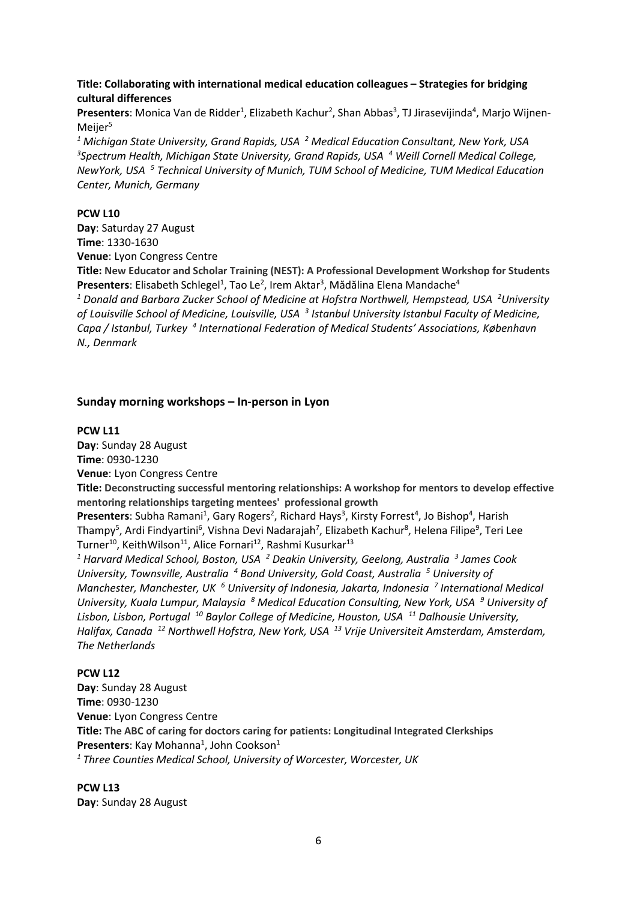**Title: Collaborating with international medical education colleagues – Strategies for bridging cultural differences**

Presenters: Monica Van de Ridder<sup>1</sup>, Elizabeth Kachur<sup>2</sup>, Shan Abbas<sup>3</sup>, TJ Jirasevijinda<sup>4</sup>, Marjo Wijnen-Meijer<sup>5</sup>

*<sup>1</sup> Michigan State University, Grand Rapids, USA 2 Medical Education Consultant, New York, USA 3 Spectrum Health, Michigan State University, Grand Rapids, USA 4 Weill Cornell Medical College, NewYork, USA 5 Technical University of Munich, TUM School of Medicine, TUM Medical Education Center, Munich, Germany*

#### **PCW L10**

**Day**: Saturday 27 August **Time**: 1330-1630 **Venue**: Lyon Congress Centre

**Title: New Educator and Scholar Training (NEST): A Professional Development Workshop for Students** Presenters: Elisabeth Schlegel<sup>1</sup>, Tao Le<sup>2</sup>, Irem Aktar<sup>3</sup>, Mădălina Elena Mandache<sup>4</sup>

<sup>1</sup> Donald and Barbara Zucker School of Medicine at Hofstra Northwell, Hempstead, USA <sup>2</sup>University *ofLouisville School of Medicine, Louisville, USA 3 Istanbul University Istanbul Faculty of Medicine, Capa / Istanbul, Turkey 4 International Federation of Medical Students' Associations, København N., Denmark*

#### **Sunday morning workshops – In-person in Lyon**

#### **PCW L11**

**Day**: Sunday 28 August **Time**: 0930-1230

**Venue**: Lyon Congress Centre

**Title: Deconstructing successful mentoring relationships: A workshop for mentors to develop effective mentoring relationships targeting mentees' professional growth**

Presenters: Subha Ramani<sup>1</sup>, Gary Rogers<sup>2</sup>, Richard Hays<sup>3</sup>, Kirsty Forrest<sup>4</sup>, Jo Bishop<sup>4</sup>, Harish Thampy<sup>5</sup>, Ardi Findyartini<sup>6</sup>, Vishna Devi Nadarajah<sup>7</sup>, Elizabeth Kachur<sup>8</sup>, Helena Filipe<sup>9</sup>, Teri Lee Turner<sup>10</sup>, KeithWilson<sup>11</sup>, Alice Fornari<sup>12</sup>, Rashmi Kusurkar<sup>13</sup>

*<sup>1</sup> Harvard Medical School, Boston, USA 2 Deakin University, Geelong, Australia 3 James Cook University, Townsville, Australia 4 Bond University, Gold Coast, Australia 5 University of Manchester, Manchester, UK 6 University of Indonesia, Jakarta, Indonesia 7 International Medical University, Kuala Lumpur, Malaysia 8 Medical Education Consulting, New York, USA 9 University of Lisbon, Lisbon, Portugal 10 Baylor College of Medicine, Houston, USA 11 Dalhousie University, Halifax, Canada 12 Northwell Hofstra, New York, USA 13 Vrije Universiteit Amsterdam, Amsterdam, The Netherlands*

#### **PCW L12**

**Day**: Sunday 28 August **Time**: 0930-1230 **Venue**: Lyon Congress Centre **Title: The ABC of caring for doctors caring for patients: Longitudinal Integrated Clerkships** Presenters: Kay Mohanna<sup>1</sup>, John Cookson<sup>1</sup> *<sup>1</sup> Three Counties Medical School, University of Worcester, Worcester, UK*

**PCW L13 Day**: Sunday 28 August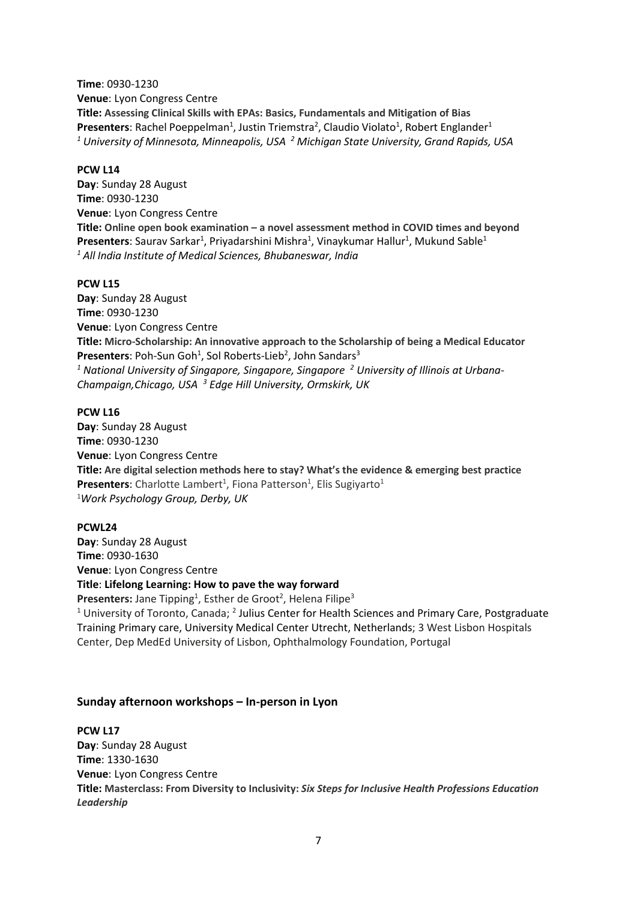**Time**: 0930-1230 **Venue**: Lyon Congress Centre **Title: Assessing Clinical Skills with EPAs: Basics, Fundamentals and Mitigation of Bias** Presenters: Rachel Poeppelman<sup>1</sup>, Justin Triemstra<sup>2</sup>, Claudio Violato<sup>1</sup>, Robert Englander<sup>1</sup> *<sup>1</sup> University of Minnesota, Minneapolis, USA 2 Michigan State University, Grand Rapids, USA* 

#### **PCW L14**

**Day**: Sunday 28 August **Time**: 0930-1230 **Venue**: Lyon Congress Centre **Title: Online open book examination – a novel assessment method in COVID times and beyond** Presenters: Saurav Sarkar<sup>1</sup>, Priyadarshini Mishra<sup>1</sup>, Vinaykumar Hallur<sup>1</sup>, Mukund Sable<sup>1</sup> *<sup>1</sup> All India Institute of Medical Sciences, Bhubaneswar, India*

#### **PCW L15**

**Day**: Sunday 28 August **Time**: 0930-1230 **Venue**: Lyon Congress Centre **Title: Micro-Scholarship: An innovative approach to the Scholarship of being a Medical Educator** Presenters: Poh-Sun Goh<sup>1</sup>, Sol Roberts-Lieb<sup>2</sup>, John Sandars<sup>3</sup> *<sup>1</sup> National University of Singapore, Singapore, Singapore 2 University of Illinois at Urbana-Champaign,Chicago, USA 3 Edge Hill University, Ormskirk, UK* 

#### **PCW L16**

**Day**: Sunday 28 August **Time**: 0930-1230 **Venue**: Lyon Congress Centre **Title: Are digital selection methods here to stay? What's the evidence & emerging best practice** Presenters: Charlotte Lambert<sup>1</sup>, Fiona Patterson<sup>1</sup>, Elis Sugiyarto<sup>1</sup> 1 *Work Psychology Group, Derby, UK*

#### **PCWL24**

**Day**: Sunday 28 August **Time**: 0930-1630 **Venue**: Lyon Congress Centre **Title**: **Lifelong Learning: How to pave the way forward**

Presenters: Jane Tipping<sup>1</sup>, Esther de Groot<sup>2</sup>, Helena Filipe<sup>3</sup>

<sup>1</sup> University of Toronto, Canada; <sup>2</sup> Julius Center for Health Sciences and Primary Care, Postgraduate Training Primary care, University Medical Center Utrecht, Netherlands; 3 West Lisbon Hospitals Center, Dep MedEd University of Lisbon, Ophthalmology Foundation, Portugal

#### **Sunday afternoon workshops – In-person in Lyon**

#### **PCW L17**

**Day**: Sunday 28 August **Time**: 1330-1630 **Venue**: Lyon Congress Centre **Title: Masterclass: From Diversity to Inclusivity:** *Six Steps for Inclusive Health Professions Education Leadership*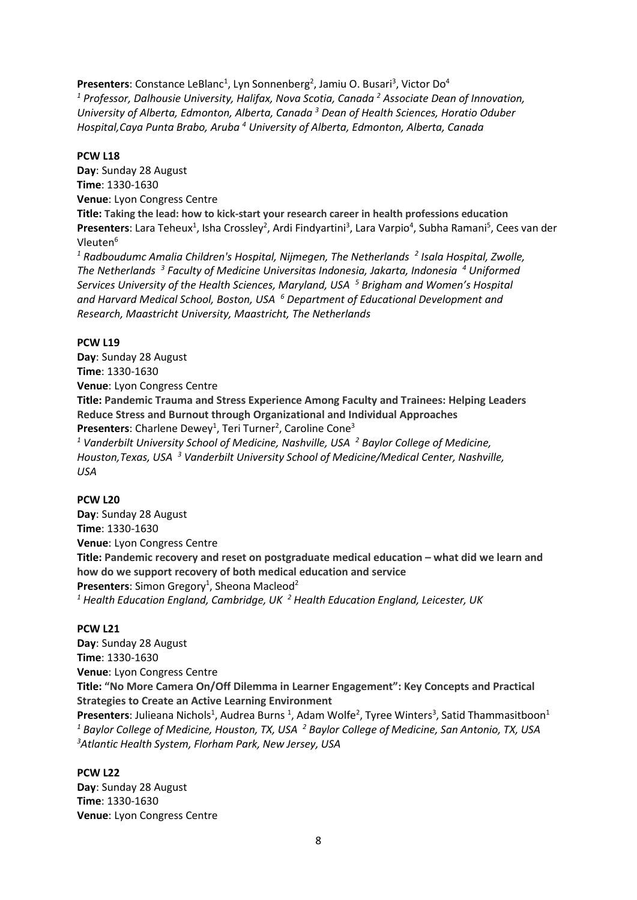Presenters: Constance LeBlanc<sup>1</sup>, Lyn Sonnenberg<sup>2</sup>, Jamiu O. Busari<sup>3</sup>, Victor Do<sup>4</sup> *<sup>1</sup> Professor, Dalhousie University, Halifax, Nova Scotia, Canada 2 Associate Dean of Innovation, University of Alberta, Edmonton, Alberta, Canada 3 Dean of Health Sciences, Horatio Oduber Hospital,Caya Punta Brabo, Aruba <sup>4</sup> University of Alberta, Edmonton, Alberta, Canada*

#### **PCW L18**

**Day**: Sunday 28 August **Time**: 1330-1630 **Venue**: Lyon Congress Centre **Title: Taking the lead: how to kick-start your research career in health professions education** Presenters: Lara Teheux<sup>1</sup>, Isha Crossley<sup>2</sup>, Ardi Findyartini<sup>3</sup>, Lara Varpio<sup>4</sup>, Subha Ramani<sup>5</sup>, Cees van der Vleuten<sup>6</sup>

<sup>1</sup> Radboudumc Amalia Children's Hospital, Nijmegen, The Netherlands<sup>2</sup> Isala Hospital, Zwolle, *The Netherlands 3 Faculty of Medicine Universitas Indonesia, Jakarta, Indonesia 4 Uniformed Services University of the Health Sciences, Maryland, USA 5 Brigham and Women's Hospital and Harvard Medical School, Boston, USA 6 Department of Educational Development and Research, Maastricht University, Maastricht, The Netherlands*

#### **PCW L19**

**Day**: Sunday 28 August **Time**: 1330-1630

**Venue**: Lyon Congress Centre

**Title: Pandemic Trauma and Stress Experience Among Faculty and Trainees: Helping Leaders Reduce Stress and Burnout through Organizational and Individual Approaches**

Presenters: Charlene Dewey<sup>1</sup>, Teri Turner<sup>2</sup>, Caroline Cone<sup>3</sup>

*<sup>1</sup> Vanderbilt University School of Medicine, Nashville, USA 2 Baylor College of Medicine, Houston,Texas, USA 3 Vanderbilt University School of Medicine/Medical Center, Nashville, USA* 

#### **PCW L20**

**Day**: Sunday 28 August **Time**: 1330-1630 **Venue**: Lyon Congress Centre **Title: Pandemic recovery and reset on postgraduate medical education – what did we learn and how do we support recovery of both medical education and service** Presenters: Simon Gregory<sup>1</sup>, Sheona Macleod<sup>2</sup> *<sup>1</sup> Health Education England, Cambridge, UK 2 Health Education England, Leicester, UK* 

#### **PCW L21**

**Day**: Sunday 28 August **Time**: 1330-1630 **Venue**: Lyon Congress Centre **Title: "No More Camera On/Off Dilemma in Learner Engagement": Key Concepts and Practical Strategies to Create an Active Learning Environment** Presenters: Julieana Nichols<sup>1</sup>, Audrea Burns <sup>1</sup>, Adam Wolfe<sup>2</sup>, Tyree Winters<sup>3</sup>, Satid Thammasitboon<sup>1</sup>

*<sup>1</sup> Baylor College of Medicine, Houston, TX, USA 2 Baylor College of Medicine, San Antonio, TX, USA 3 Atlantic Health System, Florham Park, New Jersey, USA*

#### **PCW L22**

**Day**: Sunday 28 August **Time**: 1330-1630 **Venue**: Lyon Congress Centre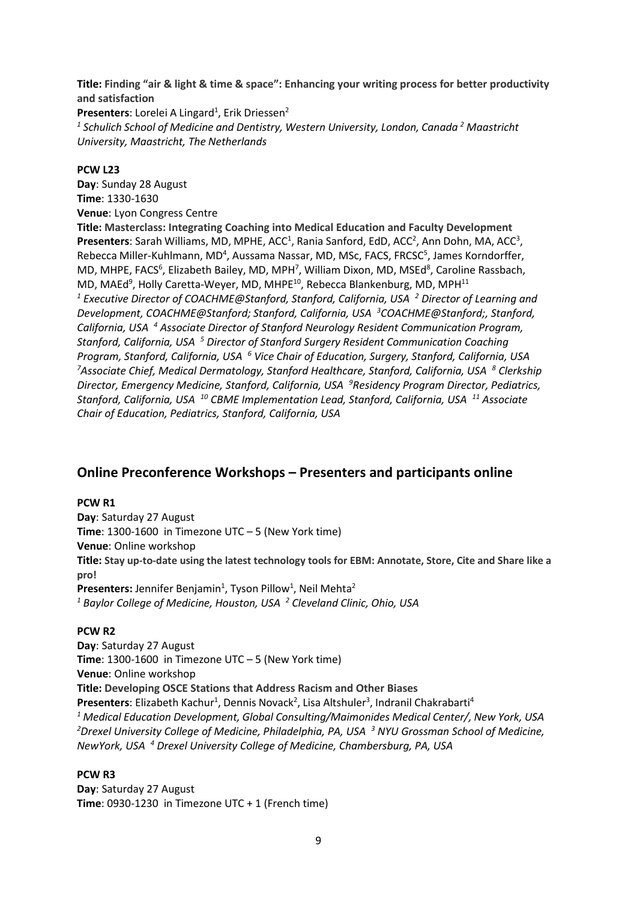**Title: Finding "air & light & time & space": Enhancing your writing process for better productivity and satisfaction**

Presenters: Lorelei A Lingard<sup>1</sup>, Erik Driessen<sup>2</sup> *<sup>1</sup> Schulich School of Medicine and Dentistry, Western University, London, Canada <sup>2</sup> Maastricht University, Maastricht, The Netherlands*

#### **PCW L23**

**Day**: Sunday 28 August **Time**: 1330-1630 **Venue**: Lyon Congress Centre

**Title: Masterclass: Integrating Coaching into Medical Education and Faculty Development** Presenters: Sarah Williams, MD, MPHE, ACC<sup>1</sup>, Rania Sanford, EdD, ACC<sup>2</sup>, Ann Dohn, MA, ACC<sup>3</sup>, Rebecca Miller-Kuhlmann, MD<sup>4</sup>, Aussama Nassar, MD, MSc, FACS, FRCSC<sup>5</sup>, James Korndorffer, MD, MHPE, FACS<sup>6</sup>, Elizabeth Bailey, MD, MPH<sup>7</sup>, William Dixon, MD, MSEd<sup>8</sup>, Caroline Rassbach, MD, MAEd<sup>9</sup>, Holly Caretta-Weyer, MD, MHPE<sup>10</sup>, Rebecca Blankenburg, MD, MPH<sup>11</sup> *<sup>1</sup> Executive Director of COACHME@Stanford, Stanford, California, USA 2 Director of Learning and Development, COACHME@Stanford; Stanford, California, USA 3 COACHME@Stanford;, Stanford, California, USA 4 Associate Director of Stanford Neurology Resident Communication Program, Stanford, California, USA 5 Director of Stanford Surgery Resident Communication Coaching Program, Stanford, California, USA 6 Vice Chair of Education, Surgery, Stanford, California, USA 7 Associate Chief, Medical Dermatology, Stanford Healthcare, Stanford, California, USA 8 Clerkship Director, Emergency Medicine, Stanford, California, USA 9 Residency Program Director, Pediatrics, Stanford, California, USA 10 CBME Implementation Lead, Stanford, California, USA 11 Associate Chair of Education, Pediatrics, Stanford, California, USA*

## **Online Preconference Workshops – Presenters and participants online**

#### **PCW R1**

**Day**: Saturday 27 August **Time**: 1300-1600 in Timezone UTC – 5 (New York time) **Venue**: Online workshop **Title: Stay up-to-date using the latest technology tools for EBM: Annotate, Store, Cite and Share like a pro!**  Presenters: Jennifer Benjamin<sup>1</sup>, Tyson Pillow<sup>1</sup>, Neil Mehta<sup>2</sup> *<sup>1</sup> Baylor College of Medicine, Houston, USA 2 Cleveland Clinic, Ohio, USA* 

#### **PCW R2**

**Day**: Saturday 27 August **Time**: 1300-1600 in Timezone UTC – 5 (New York time) **Venue**: Online workshop **Title: Developing OSCE Stations that Address Racism and Other Biases** Presenters: Elizabeth Kachur<sup>1</sup>, Dennis Novack<sup>2</sup>, Lisa Altshuler<sup>3</sup>, Indranil Chakrabarti<sup>4</sup> *<sup>1</sup> Medical Education Development, Global Consulting/Maimonides Medical Center/, New York, USA 2 Drexel University College of Medicine, Philadelphia, PA, USA 3 NYU Grossman School of Medicine, NewYork, USA 4 Drexel University College of Medicine, Chambersburg, PA, USA* 

#### **PCW R3**

**Day**: Saturday 27 August **Time**: 0930-1230 in Timezone UTC + 1 (French time)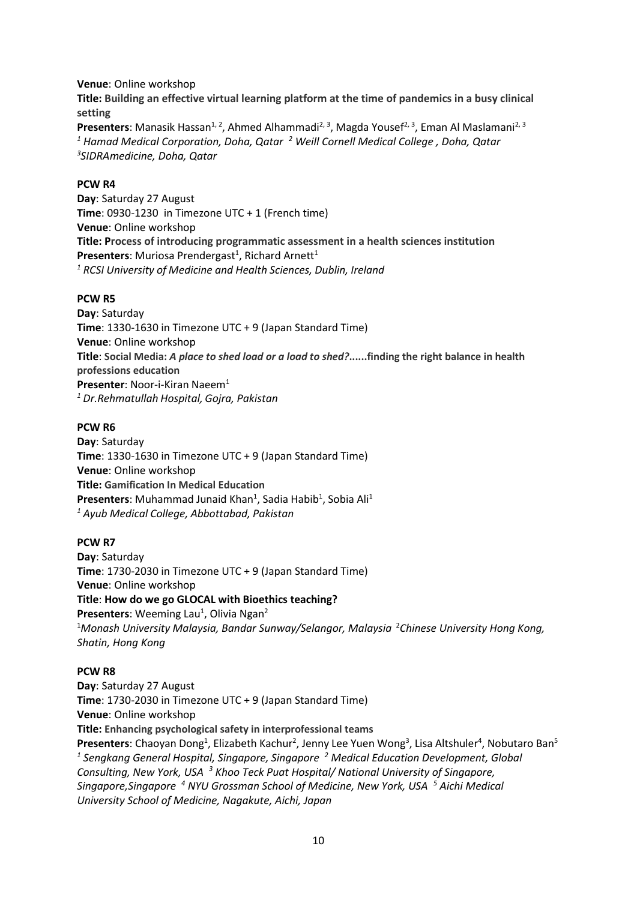**Venue**: Online workshop **Title: Building an effective virtual learning platform at the time of pandemics in a busy clinical setting**

**Presenters**: Manasik Hassan<sup>1, 2</sup>, Ahmed Alhammadi<sup>2, 3</sup>, Magda Yousef<sup>2, 3</sup>, Eman Al Maslamani<sup>2, 3</sup> *<sup>1</sup> Hamad Medical Corporation, Doha, Qatar 2 Weill Cornell Medical College , Doha, Qatar 3 SIDRAmedicine, Doha, Qatar*

#### **PCW R4**

**Day**: Saturday 27 August **Time**: 0930-1230 in Timezone UTC + 1 (French time) **Venue**: Online workshop **Title: Process of introducing programmatic assessment in a health sciences institution** Presenters: Muriosa Prendergast<sup>1</sup>, Richard Arnett<sup>1</sup> *<sup>1</sup> RCSI University of Medicine and Health Sciences, Dublin, Ireland*

#### **PCW R5**

**Day**: Saturday **Time**: 1330-1630 in Timezone UTC + 9 (Japan Standard Time) **Venue**: Online workshop **Title**: **Social Media:** *A place to shed load or a load to shed?***......finding the right balance in health professions education Presenter: Noor-i-Kiran Naeem<sup>1</sup>** *<sup>1</sup> Dr.Rehmatullah Hospital, Gojra, Pakistan*

#### **PCW R6**

**Day**: Saturday **Time**: 1330-1630 in Timezone UTC + 9 (Japan Standard Time) **Venue**: Online workshop **Title: Gamification In Medical Education** Presenters: Muhammad Junaid Khan<sup>1</sup>, Sadia Habib<sup>1</sup>, Sobia Ali<sup>1</sup> *<sup>1</sup> Ayub Medical College, Abbottabad, Pakistan*

#### **PCW R7**

**Day**: Saturday **Time**: 1730-2030 in Timezone UTC + 9 (Japan Standard Time) **Venue**: Online workshop **Title**: **How do we go GLOCAL with Bioethics teaching?** Presenters: Weeming Lau<sup>1</sup>, Olivia Ngan<sup>2</sup> <sup>1</sup>Monash University Malaysia, Bandar Sunway/Selangor, Malaysia <sup>2</sup>Chinese University Hong Kong, *Shatin, Hong Kong*

#### **PCW R8**

**Day**: Saturday 27 August **Time**: 1730-2030 in Timezone UTC + 9 (Japan Standard Time) **Venue**: Online workshop **Title: Enhancing psychological safety in interprofessional teams** Presenters: Chaoyan Dong<sup>1</sup>, Elizabeth Kachur<sup>2</sup>, Jenny Lee Yuen Wong<sup>3</sup>, Lisa Altshuler<sup>4</sup>, Nobutaro Ban<sup>5</sup> *<sup>1</sup> Sengkang General Hospital, Singapore, Singapore 2 Medical Education Development, Global Consulting, New York, USA 3 Khoo Teck Puat Hospital/ National University of Singapore, Singapore,Singapore 4 NYU Grossman School of Medicine, New York, USA 5 Aichi Medical University School of Medicine, Nagakute, Aichi, Japan*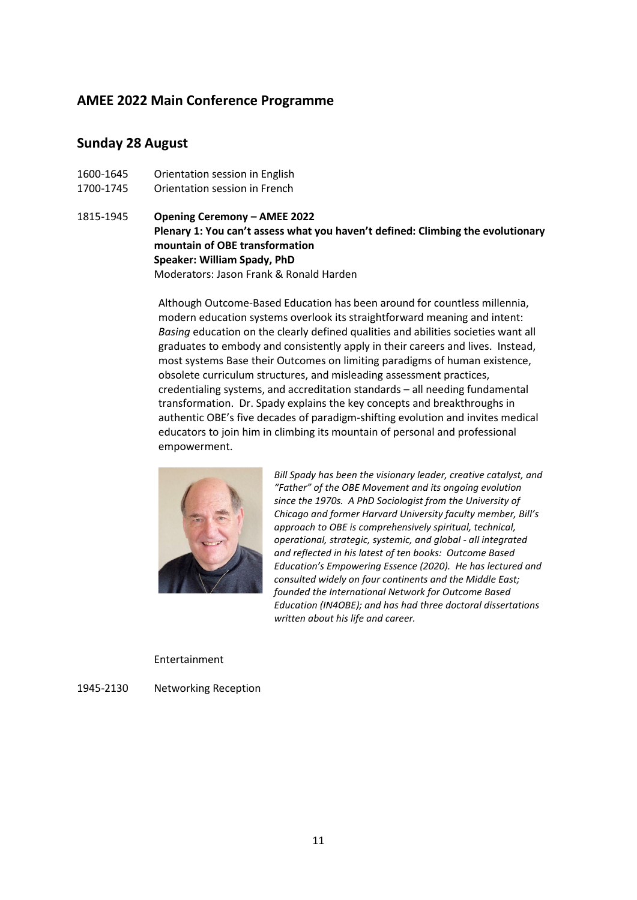## **AMEE 2022 Main Conference Programme**

### **Sunday 28 August**

1600-1645 Orientation session in English 1700-1745 Orientation session in French

1815-1945 **Opening Ceremony – AMEE 2022 Plenary 1: You can't assess what you haven't defined: Climbing the evolutionary mountain of OBE transformation Speaker: William Spady, PhD** Moderators: Jason Frank & Ronald Harden

> Although Outcome-Based Education has been around for countless millennia, modern education systems overlook its straightforward meaning and intent: *Basing* education on the clearly defined qualities and abilities societies want all graduates to embody and consistently apply in their careers and lives. Instead, most systems Base their Outcomes on limiting paradigms of human existence, obsolete curriculum structures, and misleading assessment practices, credentialing systems, and accreditation standards – all needing fundamental transformation. Dr. Spady explains the key concepts and breakthroughs in authentic OBE's five decades of paradigm-shifting evolution and invites medical educators to join him in climbing its mountain of personal and professional empowerment.



*Bill Spady has been the visionary leader, creative catalyst, and "Father" of the OBE Movement and its ongoing evolution since the 1970s. A PhD Sociologist from the University of Chicago and former Harvard University faculty member, Bill's approach to OBE is comprehensively spiritual, technical, operational, strategic, systemic, and global* - *all integrated and reflected in his latest of ten books: Outcome Based Education's Empowering Essence (2020). He has lectured and consulted widely on four continents and the Middle East; founded the International Network for Outcome Based Education (IN4OBE); and has had three doctoral dissertations written about his life and career.*

#### Entertainment

1945-2130 Networking Reception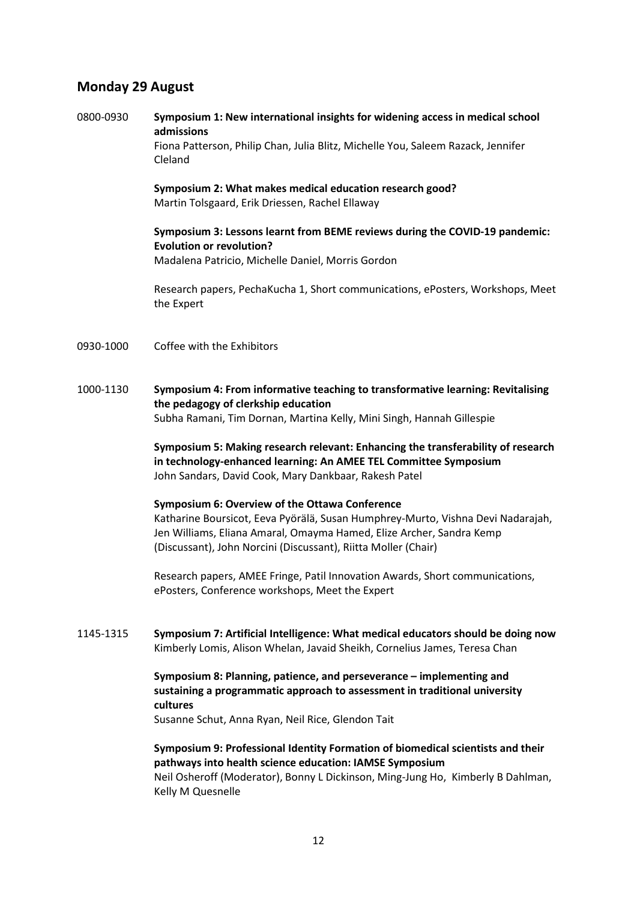## **Monday 29 August**

0800-0930 **Symposium 1: New international insights for widening access in medical school admissions**

Fiona Patterson, Philip Chan, Julia Blitz, Michelle You, Saleem Razack, Jennifer Cleland

**Symposium 2: What makes medical education research good?** Martin Tolsgaard, Erik Driessen, Rachel Ellaway

**Symposium 3: Lessons learnt from BEME reviews during the COVID-19 pandemic: Evolution or revolution?** Madalena Patricio, Michelle Daniel, Morris Gordon

Research papers, PechaKucha 1, Short communications, ePosters, Workshops, Meet the Expert

- 0930-1000 Coffee with the Exhibitors
- 1000-1130 **Symposium 4: From informative teaching to transformative learning: Revitalising the pedagogy of clerkship education** Subha Ramani, Tim Dornan, Martina Kelly, Mini Singh, Hannah Gillespie

**Symposium 5: Making research relevant: Enhancing the transferability of research in technology-enhanced learning: An AMEE TEL Committee Symposium** John Sandars, David Cook, Mary Dankbaar, Rakesh Patel

#### **Symposium 6: Overview of the Ottawa Conference**

Katharine Boursicot, Eeva Pyörälä, Susan Humphrey-Murto, Vishna Devi Nadarajah, Jen Williams, Eliana Amaral, Omayma Hamed, Elize Archer, Sandra Kemp (Discussant), John Norcini (Discussant), Riitta Moller (Chair)

Research papers, AMEE Fringe, Patil Innovation Awards, Short communications, ePosters, Conference workshops, Meet the Expert

1145-1315 **Symposium 7: Artificial Intelligence: What medical educators should be doing now** Kimberly Lomis, Alison Whelan, Javaid Sheikh, Cornelius James, Teresa Chan

#### **Symposium 8: Planning, patience, and perseverance – implementing and sustaining a programmatic approach to assessment in traditional university cultures**

Susanne Schut, Anna Ryan, Neil Rice, Glendon Tait

**Symposium 9: Professional Identity Formation of biomedical scientists and their pathways into health science education: IAMSE Symposium** Neil Osheroff (Moderator), Bonny L Dickinson, Ming-Jung Ho, Kimberly B Dahlman, Kelly M Quesnelle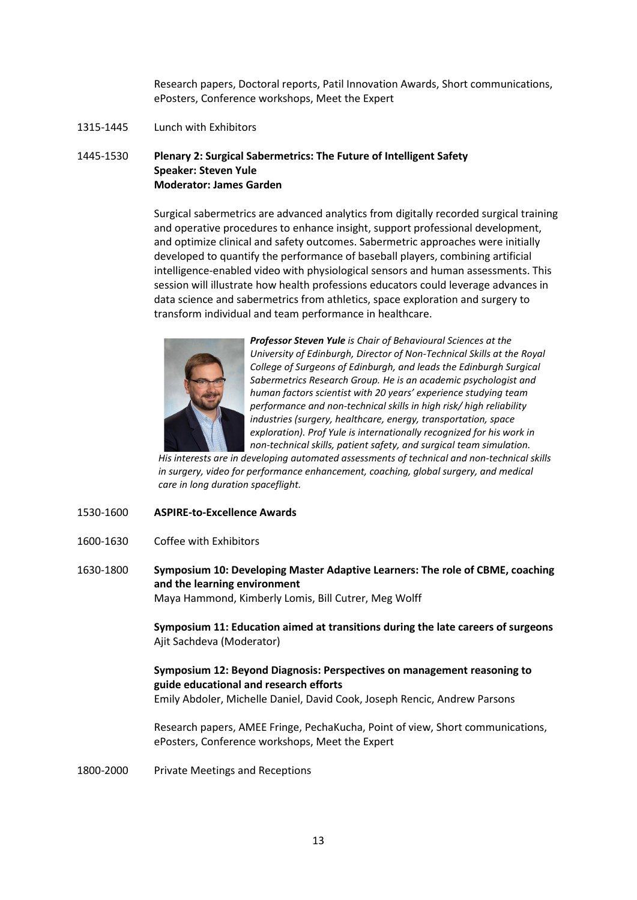Research papers, Doctoral reports, Patil Innovation Awards, Short communications, ePosters, Conference workshops, Meet the Expert

1315-1445 Lunch with Exhibitors

#### 1445-1530 **Plenary 2: Surgical Sabermetrics: The Future of Intelligent Safety Speaker: Steven Yule Moderator: James Garden**

Surgical sabermetrics are advanced analytics from digitally recorded surgical training and operative procedures to enhance insight, support professional development, and optimize clinical and safety outcomes. Sabermetric approaches were initially developed to quantify the performance of baseball players, combining artificial intelligence-enabled video with physiological sensors and human assessments. This session will illustrate how health professions educators could leverage advances in data science and sabermetrics from athletics, space exploration and surgery to transform individual and team performance in healthcare.



*Professor Steven Yule is Chair of Behavioural Sciences at the University of Edinburgh, Director of Non-Technical Skills at the Royal College of Surgeons of Edinburgh, and leads the Edinburgh Surgical Sabermetrics Research Group. He is an academic psychologist and human factors scientist with 20 years' experience studying team performance and non-technical skills in high risk/ high reliability industries (surgery, healthcare, energy, transportation, space exploration). Prof Yule is internationally recognized for his work in non-technical skills, patient safety, and surgical team simulation.*

*His interests are in developing automated assessments of technical and non-technical skills in surgery, video for performance enhancement, coaching, global surgery, and medical care in long duration spaceflight.*

- 1530-1600 **ASPIRE-to-Excellence Awards**
- 1600-1630 Coffee with Exhibitors
- 1630-1800 **Symposium 10: Developing Master Adaptive Learners: The role of CBME, coaching and the learning environment** Maya Hammond, Kimberly Lomis, Bill Cutrer, Meg Wolff

**Symposium 11: Education aimed at transitions during the late careers of surgeons** Ajit Sachdeva (Moderator)

### **Symposium 12: Beyond Diagnosis: Perspectives on management reasoning to guide educational and research efforts**

Emily Abdoler, Michelle Daniel, David Cook, Joseph Rencic, Andrew Parsons

Research papers, AMEE Fringe, PechaKucha, Point of view, Short communications, ePosters, Conference workshops, Meet the Expert

1800-2000 Private Meetings and Receptions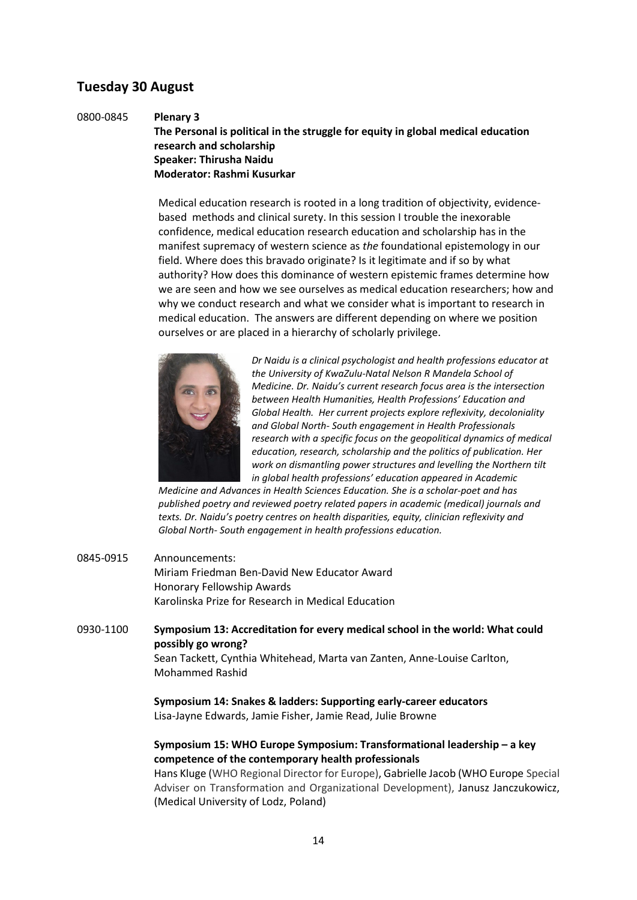## **Tuesday 30 August**

0800-0845 **Plenary 3**

**The Personal is political in the struggle for equity in global medical education research and scholarship Speaker: Thirusha Naidu Moderator: Rashmi Kusurkar**

Medical education research is rooted in a long tradition of objectivity, evidencebased methods and clinical surety. In this session I trouble the inexorable confidence, medical education research education and scholarship has in the manifest supremacy of western science as *the* foundational epistemology in our field. Where does this bravado originate? Is it legitimate and if so by what authority? How does this dominance of western epistemic frames determine how we are seen and how we see ourselves as medical education researchers; how and why we conduct research and what we consider what is important to research in medical education. The answers are different depending on where we position ourselves or are placed in a hierarchy of scholarly privilege.



*Dr Naidu is a clinical psychologist and health professions educator at the University of KwaZulu-Natal Nelson R Mandela School of Medicine. Dr. Naidu's current research focus area is the intersection between Health Humanities, Health Professions' Education and Global Health. Her current projects explore reflexivity, decoloniality and Global North- South engagement in Health Professionals research with a specific focus on the geopolitical dynamics of medical education, research, scholarship and the politics of publication. Her work on dismantling power structures and levelling the Northern tilt in global health professions' education appeared in Academic* 

*Medicine and Advances in Health Sciences Education. She is a scholar-poet and has published poetry and reviewed poetry related papers in academic (medical) journals and texts. Dr. Naidu's poetry centres on health disparities, equity, clinician reflexivity and Global North- South engagement in health professions education.*

0845-0915 Announcements: Miriam Friedman Ben-David New Educator Award Honorary Fellowship Awards Karolinska Prize for Research in Medical Education

0930-1100 **Symposium 13: Accreditation for every medical school in the world: What could possibly go wrong?**

Sean Tackett, Cynthia Whitehead, Marta van Zanten, Anne-Louise Carlton, Mohammed Rashid

**Symposium 14: Snakes & ladders: Supporting early-career educators** Lisa-Jayne Edwards, Jamie Fisher, Jamie Read, Julie Browne

#### **Symposium 15: WHO Europe Symposium: Transformational leadership – a key competence of the contemporary health professionals**

Hans Kluge (WHO Regional Director for Europe), Gabrielle Jacob (WHO Europe Special Adviser on Transformation and Organizational Development), Janusz Janczukowicz, (Medical University of Lodz, Poland)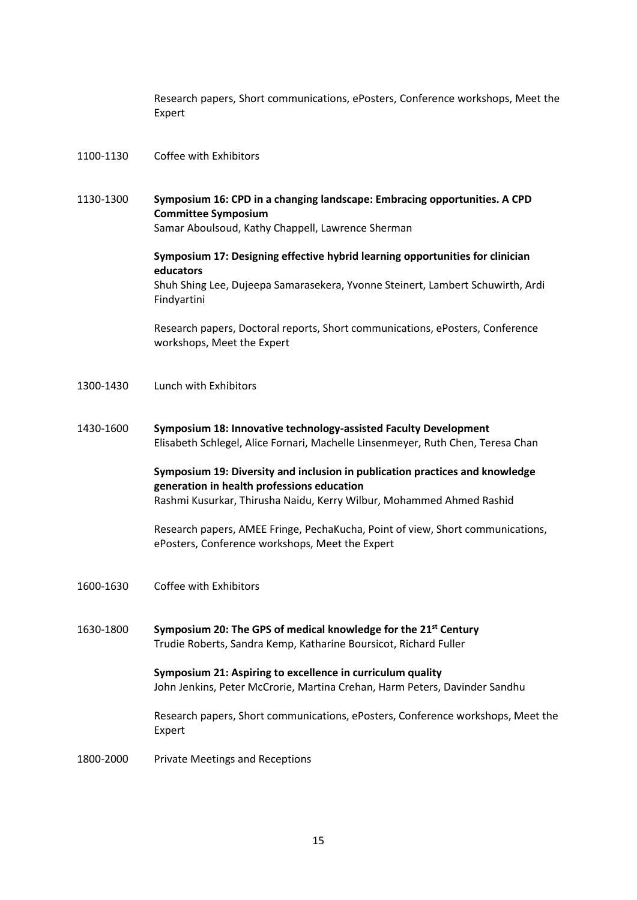Research papers, Short communications, ePosters, Conference workshops, Meet the Expert

- 1100-1130 Coffee with Exhibitors
- 1130-1300 **Symposium 16: CPD in a changing landscape: Embracing opportunities. A CPD Committee Symposium** Samar Aboulsoud, Kathy Chappell, Lawrence Sherman

**Symposium 17: Designing effective hybrid learning opportunities for clinician educators** Shuh Shing Lee, Dujeepa Samarasekera, Yvonne Steinert, Lambert Schuwirth, Ardi Findyartini

Research papers, Doctoral reports, Short communications, ePosters, Conference workshops, Meet the Expert

- 1300-1430 Lunch with Exhibitors
- 1430-1600 **Symposium 18: Innovative technology-assisted Faculty Development** Elisabeth Schlegel, Alice Fornari, Machelle Linsenmeyer, Ruth Chen, Teresa Chan

**Symposium 19: Diversity and inclusion in publication practices and knowledge generation in health professions education** Rashmi Kusurkar, Thirusha Naidu, Kerry Wilbur, Mohammed Ahmed Rashid

Research papers, AMEE Fringe, PechaKucha, Point of view, Short communications, ePosters, Conference workshops, Meet the Expert

- 1600-1630 Coffee with Exhibitors
- 1630-1800 **Symposium 20: The GPS of medical knowledge for the 21st Century** Trudie Roberts, Sandra Kemp, Katharine Boursicot, Richard Fuller

**Symposium 21: Aspiring to excellence in curriculum quality** John Jenkins, Peter McCrorie, Martina Crehan, Harm Peters, Davinder Sandhu

Research papers, Short communications, ePosters, Conference workshops, Meet the Expert

1800-2000 Private Meetings and Receptions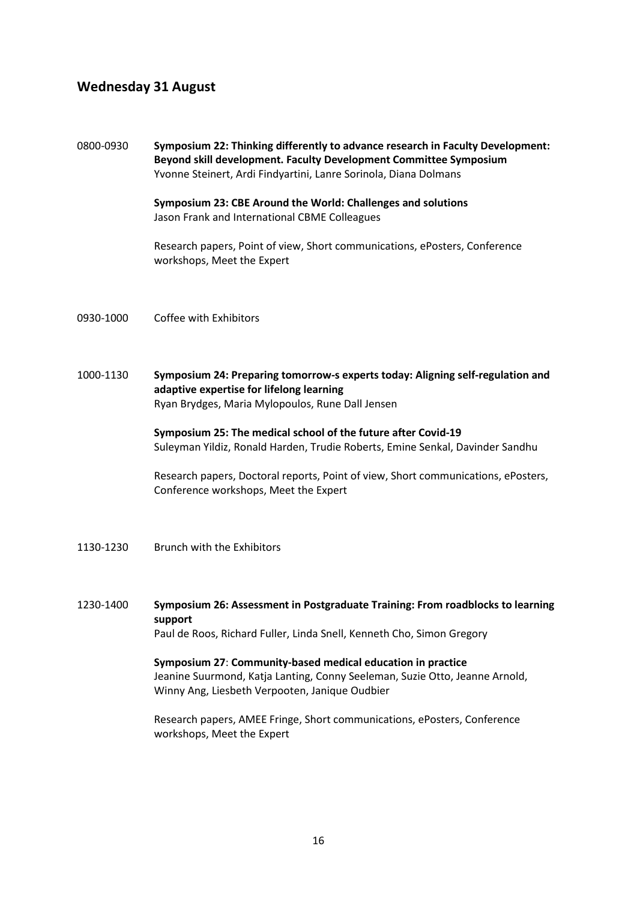## **Wednesday 31 August**

0800-0930 **Symposium 22: Thinking differently to advance research in Faculty Development: Beyond skill development. Faculty Development Committee Symposium** Yvonne Steinert, Ardi Findyartini, Lanre Sorinola, Diana Dolmans **Symposium 23: CBE Around the World: Challenges and solutions** Jason Frank and International CBME Colleagues Research papers, Point of view, Short communications, ePosters, Conference workshops, Meet the Expert 0930-1000 Coffee with Exhibitors 1000-1130 **Symposium 24: Preparing tomorrow-s experts today: Aligning self-regulation and adaptive expertise for lifelong learning** Ryan Brydges, Maria Mylopoulos, Rune Dall Jensen **Symposium 25: The medical school of the future after Covid-19** Suleyman Yildiz, Ronald Harden, Trudie Roberts, Emine Senkal, Davinder Sandhu Research papers, Doctoral reports, Point of view, Short communications, ePosters, Conference workshops, Meet the Expert 1130-1230 Brunch with the Exhibitors 1230-1400 **Symposium 26: Assessment in Postgraduate Training: From roadblocks to learning support** Paul de Roos, Richard Fuller, Linda Snell, Kenneth Cho, Simon Gregory

**Symposium 27**: **Community-based medical education in practice** Jeanine Suurmond, Katja Lanting, Conny Seeleman, Suzie Otto, Jeanne Arnold, Winny Ang, Liesbeth Verpooten, Janique Oudbier

Research papers, AMEE Fringe, Short communications, ePosters, Conference workshops, Meet the Expert